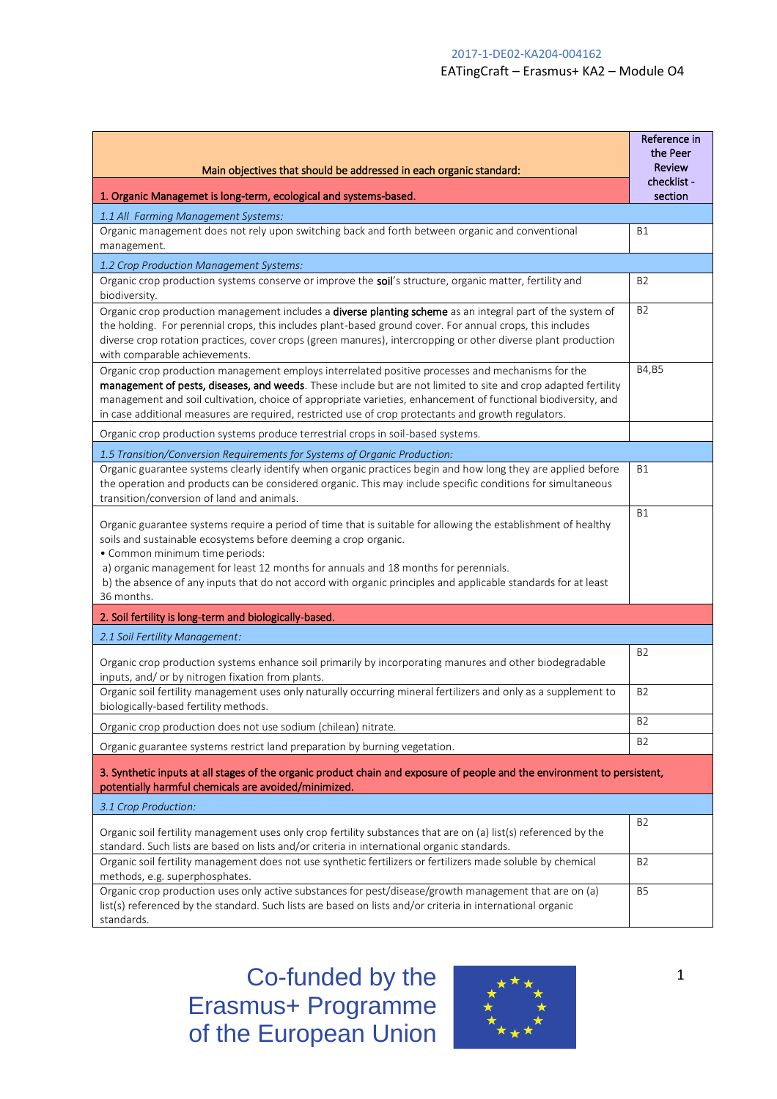#### EATingCraft – Erasmus+ KA2 – Module O4

| Main objectives that should be addressed in each organic standard:<br>checklist -<br>1. Organic Managemet is long-term, ecological and systems-based.<br>section<br>1.1 All Farming Management Systems:<br>Organic management does not rely upon switching back and forth between organic and conventional<br><b>B1</b><br>management.<br>1.2 Crop Production Management Systems:<br>Organic crop production systems conserve or improve the soil's structure, organic matter, fertility and<br>B <sub>2</sub><br>biodiversity.<br>B <sub>2</sub><br>Organic crop production management includes a diverse planting scheme as an integral part of the system of<br>the holding. For perennial crops, this includes plant-based ground cover. For annual crops, this includes<br>diverse crop rotation practices, cover crops (green manures), intercropping or other diverse plant production<br>with comparable achievements.<br>B4, B5<br>Organic crop production management employs interrelated positive processes and mechanisms for the<br>management of pests, diseases, and weeds. These include but are not limited to site and crop adapted fertility<br>management and soil cultivation, choice of appropriate varieties, enhancement of functional biodiversity, and<br>in case additional measures are required, restricted use of crop protectants and growth regulators.<br>Organic crop production systems produce terrestrial crops in soil-based systems.<br>1.5 Transition/Conversion Requirements for Systems of Organic Production:<br>Organic guarantee systems clearly identify when organic practices begin and how long they are applied before<br><b>B1</b><br>the operation and products can be considered organic. This may include specific conditions for simultaneous<br>transition/conversion of land and animals.<br><b>B1</b><br>Organic guarantee systems require a period of time that is suitable for allowing the establishment of healthy<br>soils and sustainable ecosystems before deeming a crop organic.<br>· Common minimum time periods:<br>a) organic management for least 12 months for annuals and 18 months for perennials.<br>b) the absence of any inputs that do not accord with organic principles and applicable standards for at least<br>36 months.<br>2. Soil fertility is long-term and biologically-based.<br>2.1 Soil Fertility Management:<br>B2<br>Organic crop production systems enhance soil primarily by incorporating manures and other biodegradable<br>inputs, and/ or by nitrogen fixation from plants.<br>Organic soil fertility management uses only naturally occurring mineral fertilizers and only as a supplement to<br><b>B2</b><br>biologically-based fertility methods.<br>B <sub>2</sub><br>Organic crop production does not use sodium (chilean) nitrate.<br>B <sub>2</sub><br>Organic guarantee systems restrict land preparation by burning vegetation.<br>3. Synthetic inputs at all stages of the organic product chain and exposure of people and the environment to persistent,<br>potentially harmful chemicals are avoided/minimized.<br>3.1 Crop Production:<br>B <sub>2</sub><br>Organic soil fertility management uses only crop fertility substances that are on (a) list(s) referenced by the<br>standard. Such lists are based on lists and/or criteria in international organic standards.<br>Organic soil fertility management does not use synthetic fertilizers or fertilizers made soluble by chemical<br>B <sub>2</sub><br>methods, e.g. superphosphates.<br>Organic crop production uses only active substances for pest/disease/growth management that are on (a)<br>B5<br>list(s) referenced by the standard. Such lists are based on lists and/or criteria in international organic<br>standards. | Reference in<br>the Peer<br><b>Review</b> |
|------------------------------------------------------------------------------------------------------------------------------------------------------------------------------------------------------------------------------------------------------------------------------------------------------------------------------------------------------------------------------------------------------------------------------------------------------------------------------------------------------------------------------------------------------------------------------------------------------------------------------------------------------------------------------------------------------------------------------------------------------------------------------------------------------------------------------------------------------------------------------------------------------------------------------------------------------------------------------------------------------------------------------------------------------------------------------------------------------------------------------------------------------------------------------------------------------------------------------------------------------------------------------------------------------------------------------------------------------------------------------------------------------------------------------------------------------------------------------------------------------------------------------------------------------------------------------------------------------------------------------------------------------------------------------------------------------------------------------------------------------------------------------------------------------------------------------------------------------------------------------------------------------------------------------------------------------------------------------------------------------------------------------------------------------------------------------------------------------------------------------------------------------------------------------------------------------------------------------------------------------------------------------------------------------------------------------------------------------------------------------------------------------------------------------------------------------------------------------------------------------------------------------------------------------------------------------------------------------------------------------------------------------------------------------------------------------------------------------------------------------------------------------------------------------------------------------------------------------------------------------------------------------------------------------------------------------------------------------------------------------------------------------------------------------------------------------------------------------------------------------------------------------------------------------------------------------------------------------------------------------------------------------------------------------------------------------------------------------------------------------------------------------------------------------------------------------------------------------------------------------------------------------------------------------------------------------------------------------------------------------------------------------------------------------------------------------------------------------------------------------------------------------------------------------------|-------------------------------------------|
|                                                                                                                                                                                                                                                                                                                                                                                                                                                                                                                                                                                                                                                                                                                                                                                                                                                                                                                                                                                                                                                                                                                                                                                                                                                                                                                                                                                                                                                                                                                                                                                                                                                                                                                                                                                                                                                                                                                                                                                                                                                                                                                                                                                                                                                                                                                                                                                                                                                                                                                                                                                                                                                                                                                                                                                                                                                                                                                                                                                                                                                                                                                                                                                                                                                                                                                                                                                                                                                                                                                                                                                                                                                                                                                                                                                                            |                                           |
|                                                                                                                                                                                                                                                                                                                                                                                                                                                                                                                                                                                                                                                                                                                                                                                                                                                                                                                                                                                                                                                                                                                                                                                                                                                                                                                                                                                                                                                                                                                                                                                                                                                                                                                                                                                                                                                                                                                                                                                                                                                                                                                                                                                                                                                                                                                                                                                                                                                                                                                                                                                                                                                                                                                                                                                                                                                                                                                                                                                                                                                                                                                                                                                                                                                                                                                                                                                                                                                                                                                                                                                                                                                                                                                                                                                                            |                                           |
|                                                                                                                                                                                                                                                                                                                                                                                                                                                                                                                                                                                                                                                                                                                                                                                                                                                                                                                                                                                                                                                                                                                                                                                                                                                                                                                                                                                                                                                                                                                                                                                                                                                                                                                                                                                                                                                                                                                                                                                                                                                                                                                                                                                                                                                                                                                                                                                                                                                                                                                                                                                                                                                                                                                                                                                                                                                                                                                                                                                                                                                                                                                                                                                                                                                                                                                                                                                                                                                                                                                                                                                                                                                                                                                                                                                                            |                                           |
|                                                                                                                                                                                                                                                                                                                                                                                                                                                                                                                                                                                                                                                                                                                                                                                                                                                                                                                                                                                                                                                                                                                                                                                                                                                                                                                                                                                                                                                                                                                                                                                                                                                                                                                                                                                                                                                                                                                                                                                                                                                                                                                                                                                                                                                                                                                                                                                                                                                                                                                                                                                                                                                                                                                                                                                                                                                                                                                                                                                                                                                                                                                                                                                                                                                                                                                                                                                                                                                                                                                                                                                                                                                                                                                                                                                                            |                                           |
|                                                                                                                                                                                                                                                                                                                                                                                                                                                                                                                                                                                                                                                                                                                                                                                                                                                                                                                                                                                                                                                                                                                                                                                                                                                                                                                                                                                                                                                                                                                                                                                                                                                                                                                                                                                                                                                                                                                                                                                                                                                                                                                                                                                                                                                                                                                                                                                                                                                                                                                                                                                                                                                                                                                                                                                                                                                                                                                                                                                                                                                                                                                                                                                                                                                                                                                                                                                                                                                                                                                                                                                                                                                                                                                                                                                                            |                                           |
|                                                                                                                                                                                                                                                                                                                                                                                                                                                                                                                                                                                                                                                                                                                                                                                                                                                                                                                                                                                                                                                                                                                                                                                                                                                                                                                                                                                                                                                                                                                                                                                                                                                                                                                                                                                                                                                                                                                                                                                                                                                                                                                                                                                                                                                                                                                                                                                                                                                                                                                                                                                                                                                                                                                                                                                                                                                                                                                                                                                                                                                                                                                                                                                                                                                                                                                                                                                                                                                                                                                                                                                                                                                                                                                                                                                                            |                                           |
|                                                                                                                                                                                                                                                                                                                                                                                                                                                                                                                                                                                                                                                                                                                                                                                                                                                                                                                                                                                                                                                                                                                                                                                                                                                                                                                                                                                                                                                                                                                                                                                                                                                                                                                                                                                                                                                                                                                                                                                                                                                                                                                                                                                                                                                                                                                                                                                                                                                                                                                                                                                                                                                                                                                                                                                                                                                                                                                                                                                                                                                                                                                                                                                                                                                                                                                                                                                                                                                                                                                                                                                                                                                                                                                                                                                                            |                                           |
|                                                                                                                                                                                                                                                                                                                                                                                                                                                                                                                                                                                                                                                                                                                                                                                                                                                                                                                                                                                                                                                                                                                                                                                                                                                                                                                                                                                                                                                                                                                                                                                                                                                                                                                                                                                                                                                                                                                                                                                                                                                                                                                                                                                                                                                                                                                                                                                                                                                                                                                                                                                                                                                                                                                                                                                                                                                                                                                                                                                                                                                                                                                                                                                                                                                                                                                                                                                                                                                                                                                                                                                                                                                                                                                                                                                                            |                                           |
|                                                                                                                                                                                                                                                                                                                                                                                                                                                                                                                                                                                                                                                                                                                                                                                                                                                                                                                                                                                                                                                                                                                                                                                                                                                                                                                                                                                                                                                                                                                                                                                                                                                                                                                                                                                                                                                                                                                                                                                                                                                                                                                                                                                                                                                                                                                                                                                                                                                                                                                                                                                                                                                                                                                                                                                                                                                                                                                                                                                                                                                                                                                                                                                                                                                                                                                                                                                                                                                                                                                                                                                                                                                                                                                                                                                                            |                                           |
|                                                                                                                                                                                                                                                                                                                                                                                                                                                                                                                                                                                                                                                                                                                                                                                                                                                                                                                                                                                                                                                                                                                                                                                                                                                                                                                                                                                                                                                                                                                                                                                                                                                                                                                                                                                                                                                                                                                                                                                                                                                                                                                                                                                                                                                                                                                                                                                                                                                                                                                                                                                                                                                                                                                                                                                                                                                                                                                                                                                                                                                                                                                                                                                                                                                                                                                                                                                                                                                                                                                                                                                                                                                                                                                                                                                                            |                                           |
|                                                                                                                                                                                                                                                                                                                                                                                                                                                                                                                                                                                                                                                                                                                                                                                                                                                                                                                                                                                                                                                                                                                                                                                                                                                                                                                                                                                                                                                                                                                                                                                                                                                                                                                                                                                                                                                                                                                                                                                                                                                                                                                                                                                                                                                                                                                                                                                                                                                                                                                                                                                                                                                                                                                                                                                                                                                                                                                                                                                                                                                                                                                                                                                                                                                                                                                                                                                                                                                                                                                                                                                                                                                                                                                                                                                                            |                                           |
|                                                                                                                                                                                                                                                                                                                                                                                                                                                                                                                                                                                                                                                                                                                                                                                                                                                                                                                                                                                                                                                                                                                                                                                                                                                                                                                                                                                                                                                                                                                                                                                                                                                                                                                                                                                                                                                                                                                                                                                                                                                                                                                                                                                                                                                                                                                                                                                                                                                                                                                                                                                                                                                                                                                                                                                                                                                                                                                                                                                                                                                                                                                                                                                                                                                                                                                                                                                                                                                                                                                                                                                                                                                                                                                                                                                                            |                                           |
|                                                                                                                                                                                                                                                                                                                                                                                                                                                                                                                                                                                                                                                                                                                                                                                                                                                                                                                                                                                                                                                                                                                                                                                                                                                                                                                                                                                                                                                                                                                                                                                                                                                                                                                                                                                                                                                                                                                                                                                                                                                                                                                                                                                                                                                                                                                                                                                                                                                                                                                                                                                                                                                                                                                                                                                                                                                                                                                                                                                                                                                                                                                                                                                                                                                                                                                                                                                                                                                                                                                                                                                                                                                                                                                                                                                                            |                                           |
|                                                                                                                                                                                                                                                                                                                                                                                                                                                                                                                                                                                                                                                                                                                                                                                                                                                                                                                                                                                                                                                                                                                                                                                                                                                                                                                                                                                                                                                                                                                                                                                                                                                                                                                                                                                                                                                                                                                                                                                                                                                                                                                                                                                                                                                                                                                                                                                                                                                                                                                                                                                                                                                                                                                                                                                                                                                                                                                                                                                                                                                                                                                                                                                                                                                                                                                                                                                                                                                                                                                                                                                                                                                                                                                                                                                                            |                                           |
|                                                                                                                                                                                                                                                                                                                                                                                                                                                                                                                                                                                                                                                                                                                                                                                                                                                                                                                                                                                                                                                                                                                                                                                                                                                                                                                                                                                                                                                                                                                                                                                                                                                                                                                                                                                                                                                                                                                                                                                                                                                                                                                                                                                                                                                                                                                                                                                                                                                                                                                                                                                                                                                                                                                                                                                                                                                                                                                                                                                                                                                                                                                                                                                                                                                                                                                                                                                                                                                                                                                                                                                                                                                                                                                                                                                                            |                                           |
|                                                                                                                                                                                                                                                                                                                                                                                                                                                                                                                                                                                                                                                                                                                                                                                                                                                                                                                                                                                                                                                                                                                                                                                                                                                                                                                                                                                                                                                                                                                                                                                                                                                                                                                                                                                                                                                                                                                                                                                                                                                                                                                                                                                                                                                                                                                                                                                                                                                                                                                                                                                                                                                                                                                                                                                                                                                                                                                                                                                                                                                                                                                                                                                                                                                                                                                                                                                                                                                                                                                                                                                                                                                                                                                                                                                                            |                                           |
|                                                                                                                                                                                                                                                                                                                                                                                                                                                                                                                                                                                                                                                                                                                                                                                                                                                                                                                                                                                                                                                                                                                                                                                                                                                                                                                                                                                                                                                                                                                                                                                                                                                                                                                                                                                                                                                                                                                                                                                                                                                                                                                                                                                                                                                                                                                                                                                                                                                                                                                                                                                                                                                                                                                                                                                                                                                                                                                                                                                                                                                                                                                                                                                                                                                                                                                                                                                                                                                                                                                                                                                                                                                                                                                                                                                                            |                                           |
|                                                                                                                                                                                                                                                                                                                                                                                                                                                                                                                                                                                                                                                                                                                                                                                                                                                                                                                                                                                                                                                                                                                                                                                                                                                                                                                                                                                                                                                                                                                                                                                                                                                                                                                                                                                                                                                                                                                                                                                                                                                                                                                                                                                                                                                                                                                                                                                                                                                                                                                                                                                                                                                                                                                                                                                                                                                                                                                                                                                                                                                                                                                                                                                                                                                                                                                                                                                                                                                                                                                                                                                                                                                                                                                                                                                                            |                                           |
|                                                                                                                                                                                                                                                                                                                                                                                                                                                                                                                                                                                                                                                                                                                                                                                                                                                                                                                                                                                                                                                                                                                                                                                                                                                                                                                                                                                                                                                                                                                                                                                                                                                                                                                                                                                                                                                                                                                                                                                                                                                                                                                                                                                                                                                                                                                                                                                                                                                                                                                                                                                                                                                                                                                                                                                                                                                                                                                                                                                                                                                                                                                                                                                                                                                                                                                                                                                                                                                                                                                                                                                                                                                                                                                                                                                                            |                                           |
|                                                                                                                                                                                                                                                                                                                                                                                                                                                                                                                                                                                                                                                                                                                                                                                                                                                                                                                                                                                                                                                                                                                                                                                                                                                                                                                                                                                                                                                                                                                                                                                                                                                                                                                                                                                                                                                                                                                                                                                                                                                                                                                                                                                                                                                                                                                                                                                                                                                                                                                                                                                                                                                                                                                                                                                                                                                                                                                                                                                                                                                                                                                                                                                                                                                                                                                                                                                                                                                                                                                                                                                                                                                                                                                                                                                                            |                                           |
|                                                                                                                                                                                                                                                                                                                                                                                                                                                                                                                                                                                                                                                                                                                                                                                                                                                                                                                                                                                                                                                                                                                                                                                                                                                                                                                                                                                                                                                                                                                                                                                                                                                                                                                                                                                                                                                                                                                                                                                                                                                                                                                                                                                                                                                                                                                                                                                                                                                                                                                                                                                                                                                                                                                                                                                                                                                                                                                                                                                                                                                                                                                                                                                                                                                                                                                                                                                                                                                                                                                                                                                                                                                                                                                                                                                                            |                                           |
|                                                                                                                                                                                                                                                                                                                                                                                                                                                                                                                                                                                                                                                                                                                                                                                                                                                                                                                                                                                                                                                                                                                                                                                                                                                                                                                                                                                                                                                                                                                                                                                                                                                                                                                                                                                                                                                                                                                                                                                                                                                                                                                                                                                                                                                                                                                                                                                                                                                                                                                                                                                                                                                                                                                                                                                                                                                                                                                                                                                                                                                                                                                                                                                                                                                                                                                                                                                                                                                                                                                                                                                                                                                                                                                                                                                                            |                                           |
|                                                                                                                                                                                                                                                                                                                                                                                                                                                                                                                                                                                                                                                                                                                                                                                                                                                                                                                                                                                                                                                                                                                                                                                                                                                                                                                                                                                                                                                                                                                                                                                                                                                                                                                                                                                                                                                                                                                                                                                                                                                                                                                                                                                                                                                                                                                                                                                                                                                                                                                                                                                                                                                                                                                                                                                                                                                                                                                                                                                                                                                                                                                                                                                                                                                                                                                                                                                                                                                                                                                                                                                                                                                                                                                                                                                                            |                                           |
|                                                                                                                                                                                                                                                                                                                                                                                                                                                                                                                                                                                                                                                                                                                                                                                                                                                                                                                                                                                                                                                                                                                                                                                                                                                                                                                                                                                                                                                                                                                                                                                                                                                                                                                                                                                                                                                                                                                                                                                                                                                                                                                                                                                                                                                                                                                                                                                                                                                                                                                                                                                                                                                                                                                                                                                                                                                                                                                                                                                                                                                                                                                                                                                                                                                                                                                                                                                                                                                                                                                                                                                                                                                                                                                                                                                                            |                                           |
|                                                                                                                                                                                                                                                                                                                                                                                                                                                                                                                                                                                                                                                                                                                                                                                                                                                                                                                                                                                                                                                                                                                                                                                                                                                                                                                                                                                                                                                                                                                                                                                                                                                                                                                                                                                                                                                                                                                                                                                                                                                                                                                                                                                                                                                                                                                                                                                                                                                                                                                                                                                                                                                                                                                                                                                                                                                                                                                                                                                                                                                                                                                                                                                                                                                                                                                                                                                                                                                                                                                                                                                                                                                                                                                                                                                                            |                                           |
|                                                                                                                                                                                                                                                                                                                                                                                                                                                                                                                                                                                                                                                                                                                                                                                                                                                                                                                                                                                                                                                                                                                                                                                                                                                                                                                                                                                                                                                                                                                                                                                                                                                                                                                                                                                                                                                                                                                                                                                                                                                                                                                                                                                                                                                                                                                                                                                                                                                                                                                                                                                                                                                                                                                                                                                                                                                                                                                                                                                                                                                                                                                                                                                                                                                                                                                                                                                                                                                                                                                                                                                                                                                                                                                                                                                                            |                                           |
|                                                                                                                                                                                                                                                                                                                                                                                                                                                                                                                                                                                                                                                                                                                                                                                                                                                                                                                                                                                                                                                                                                                                                                                                                                                                                                                                                                                                                                                                                                                                                                                                                                                                                                                                                                                                                                                                                                                                                                                                                                                                                                                                                                                                                                                                                                                                                                                                                                                                                                                                                                                                                                                                                                                                                                                                                                                                                                                                                                                                                                                                                                                                                                                                                                                                                                                                                                                                                                                                                                                                                                                                                                                                                                                                                                                                            |                                           |
|                                                                                                                                                                                                                                                                                                                                                                                                                                                                                                                                                                                                                                                                                                                                                                                                                                                                                                                                                                                                                                                                                                                                                                                                                                                                                                                                                                                                                                                                                                                                                                                                                                                                                                                                                                                                                                                                                                                                                                                                                                                                                                                                                                                                                                                                                                                                                                                                                                                                                                                                                                                                                                                                                                                                                                                                                                                                                                                                                                                                                                                                                                                                                                                                                                                                                                                                                                                                                                                                                                                                                                                                                                                                                                                                                                                                            |                                           |
|                                                                                                                                                                                                                                                                                                                                                                                                                                                                                                                                                                                                                                                                                                                                                                                                                                                                                                                                                                                                                                                                                                                                                                                                                                                                                                                                                                                                                                                                                                                                                                                                                                                                                                                                                                                                                                                                                                                                                                                                                                                                                                                                                                                                                                                                                                                                                                                                                                                                                                                                                                                                                                                                                                                                                                                                                                                                                                                                                                                                                                                                                                                                                                                                                                                                                                                                                                                                                                                                                                                                                                                                                                                                                                                                                                                                            |                                           |
|                                                                                                                                                                                                                                                                                                                                                                                                                                                                                                                                                                                                                                                                                                                                                                                                                                                                                                                                                                                                                                                                                                                                                                                                                                                                                                                                                                                                                                                                                                                                                                                                                                                                                                                                                                                                                                                                                                                                                                                                                                                                                                                                                                                                                                                                                                                                                                                                                                                                                                                                                                                                                                                                                                                                                                                                                                                                                                                                                                                                                                                                                                                                                                                                                                                                                                                                                                                                                                                                                                                                                                                                                                                                                                                                                                                                            |                                           |
|                                                                                                                                                                                                                                                                                                                                                                                                                                                                                                                                                                                                                                                                                                                                                                                                                                                                                                                                                                                                                                                                                                                                                                                                                                                                                                                                                                                                                                                                                                                                                                                                                                                                                                                                                                                                                                                                                                                                                                                                                                                                                                                                                                                                                                                                                                                                                                                                                                                                                                                                                                                                                                                                                                                                                                                                                                                                                                                                                                                                                                                                                                                                                                                                                                                                                                                                                                                                                                                                                                                                                                                                                                                                                                                                                                                                            |                                           |
|                                                                                                                                                                                                                                                                                                                                                                                                                                                                                                                                                                                                                                                                                                                                                                                                                                                                                                                                                                                                                                                                                                                                                                                                                                                                                                                                                                                                                                                                                                                                                                                                                                                                                                                                                                                                                                                                                                                                                                                                                                                                                                                                                                                                                                                                                                                                                                                                                                                                                                                                                                                                                                                                                                                                                                                                                                                                                                                                                                                                                                                                                                                                                                                                                                                                                                                                                                                                                                                                                                                                                                                                                                                                                                                                                                                                            |                                           |
|                                                                                                                                                                                                                                                                                                                                                                                                                                                                                                                                                                                                                                                                                                                                                                                                                                                                                                                                                                                                                                                                                                                                                                                                                                                                                                                                                                                                                                                                                                                                                                                                                                                                                                                                                                                                                                                                                                                                                                                                                                                                                                                                                                                                                                                                                                                                                                                                                                                                                                                                                                                                                                                                                                                                                                                                                                                                                                                                                                                                                                                                                                                                                                                                                                                                                                                                                                                                                                                                                                                                                                                                                                                                                                                                                                                                            |                                           |
|                                                                                                                                                                                                                                                                                                                                                                                                                                                                                                                                                                                                                                                                                                                                                                                                                                                                                                                                                                                                                                                                                                                                                                                                                                                                                                                                                                                                                                                                                                                                                                                                                                                                                                                                                                                                                                                                                                                                                                                                                                                                                                                                                                                                                                                                                                                                                                                                                                                                                                                                                                                                                                                                                                                                                                                                                                                                                                                                                                                                                                                                                                                                                                                                                                                                                                                                                                                                                                                                                                                                                                                                                                                                                                                                                                                                            |                                           |
|                                                                                                                                                                                                                                                                                                                                                                                                                                                                                                                                                                                                                                                                                                                                                                                                                                                                                                                                                                                                                                                                                                                                                                                                                                                                                                                                                                                                                                                                                                                                                                                                                                                                                                                                                                                                                                                                                                                                                                                                                                                                                                                                                                                                                                                                                                                                                                                                                                                                                                                                                                                                                                                                                                                                                                                                                                                                                                                                                                                                                                                                                                                                                                                                                                                                                                                                                                                                                                                                                                                                                                                                                                                                                                                                                                                                            |                                           |
|                                                                                                                                                                                                                                                                                                                                                                                                                                                                                                                                                                                                                                                                                                                                                                                                                                                                                                                                                                                                                                                                                                                                                                                                                                                                                                                                                                                                                                                                                                                                                                                                                                                                                                                                                                                                                                                                                                                                                                                                                                                                                                                                                                                                                                                                                                                                                                                                                                                                                                                                                                                                                                                                                                                                                                                                                                                                                                                                                                                                                                                                                                                                                                                                                                                                                                                                                                                                                                                                                                                                                                                                                                                                                                                                                                                                            |                                           |
|                                                                                                                                                                                                                                                                                                                                                                                                                                                                                                                                                                                                                                                                                                                                                                                                                                                                                                                                                                                                                                                                                                                                                                                                                                                                                                                                                                                                                                                                                                                                                                                                                                                                                                                                                                                                                                                                                                                                                                                                                                                                                                                                                                                                                                                                                                                                                                                                                                                                                                                                                                                                                                                                                                                                                                                                                                                                                                                                                                                                                                                                                                                                                                                                                                                                                                                                                                                                                                                                                                                                                                                                                                                                                                                                                                                                            |                                           |

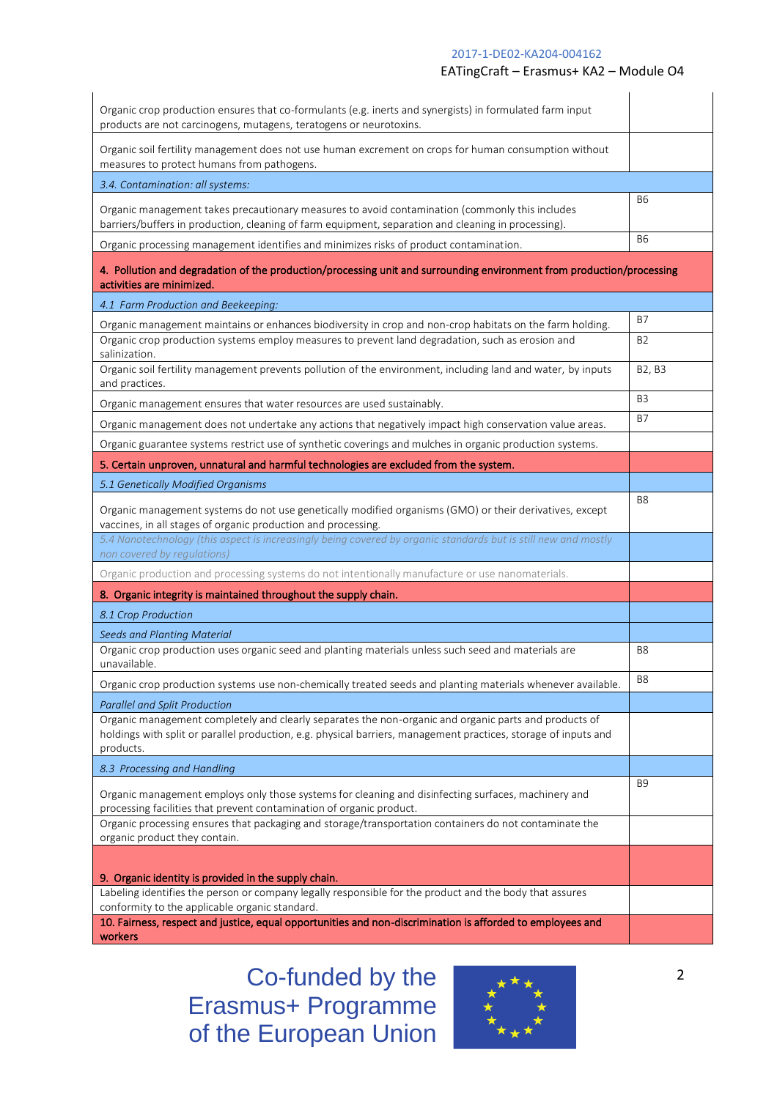#### EATingCraft – Erasmus+ KA2 – Module O4

| Organic crop production ensures that co-formulants (e.g. inerts and synergists) in formulated farm input<br>products are not carcinogens, mutagens, teratogens or neurotoxins.                                                                                         |                                 |
|------------------------------------------------------------------------------------------------------------------------------------------------------------------------------------------------------------------------------------------------------------------------|---------------------------------|
| Organic soil fertility management does not use human excrement on crops for human consumption without<br>measures to protect humans from pathogens.                                                                                                                    |                                 |
| 3.4. Contamination: all systems:                                                                                                                                                                                                                                       |                                 |
| Organic management takes precautionary measures to avoid contamination (commonly this includes<br>barriers/buffers in production, cleaning of farm equipment, separation and cleaning in processing).                                                                  | <b>B6</b>                       |
| Organic processing management identifies and minimizes risks of product contamination.                                                                                                                                                                                 | <b>B6</b>                       |
| 4. Pollution and degradation of the production/processing unit and surrounding environment from production/processing<br>activities are minimized.                                                                                                                     |                                 |
| 4.1 Farm Production and Beekeeping:                                                                                                                                                                                                                                    |                                 |
| Organic management maintains or enhances biodiversity in crop and non-crop habitats on the farm holding.                                                                                                                                                               | B7                              |
| Organic crop production systems employ measures to prevent land degradation, such as erosion and<br>salinization.                                                                                                                                                      | <b>B2</b>                       |
| Organic soil fertility management prevents pollution of the environment, including land and water, by inputs<br>and practices.                                                                                                                                         | B <sub>2</sub> , B <sub>3</sub> |
| Organic management ensures that water resources are used sustainably.                                                                                                                                                                                                  | B <sub>3</sub>                  |
| Organic management does not undertake any actions that negatively impact high conservation value areas.                                                                                                                                                                | <b>B7</b>                       |
| Organic guarantee systems restrict use of synthetic coverings and mulches in organic production systems.                                                                                                                                                               |                                 |
| 5. Certain unproven, unnatural and harmful technologies are excluded from the system.                                                                                                                                                                                  |                                 |
| 5.1 Genetically Modified Organisms                                                                                                                                                                                                                                     |                                 |
| Organic management systems do not use genetically modified organisms (GMO) or their derivatives, except<br>vaccines, in all stages of organic production and processing.                                                                                               | B <sub>8</sub>                  |
| 5.4 Nanotechnology (this aspect is increasingly being covered by organic standards but is still new and mostly<br>non covered by regulations)                                                                                                                          |                                 |
| Organic production and processing systems do not intentionally manufacture or use nanomaterials.                                                                                                                                                                       |                                 |
| 8. Organic integrity is maintained throughout the supply chain.                                                                                                                                                                                                        |                                 |
| 8.1 Crop Production                                                                                                                                                                                                                                                    |                                 |
| <b>Seeds and Planting Material</b>                                                                                                                                                                                                                                     |                                 |
| Organic crop production uses organic seed and planting materials unless such seed and materials are<br>unavailable.                                                                                                                                                    | B8                              |
| Organic crop production systems use non-chemically treated seeds and planting materials whenever available.                                                                                                                                                            | B <sub>8</sub>                  |
| Parallel and Split Production<br>Organic management completely and clearly separates the non-organic and organic parts and products of<br>holdings with split or parallel production, e.g. physical barriers, management practices, storage of inputs and<br>products. |                                 |
| 8.3 Processing and Handling                                                                                                                                                                                                                                            |                                 |
| Organic management employs only those systems for cleaning and disinfecting surfaces, machinery and<br>processing facilities that prevent contamination of organic product.                                                                                            | B <sub>9</sub>                  |
| Organic processing ensures that packaging and storage/transportation containers do not contaminate the<br>organic product they contain.                                                                                                                                |                                 |
| 9. Organic identity is provided in the supply chain.                                                                                                                                                                                                                   |                                 |
| Labeling identifies the person or company legally responsible for the product and the body that assures<br>conformity to the applicable organic standard.                                                                                                              |                                 |
| 10. Fairness, respect and justice, equal opportunities and non-discrimination is afforded to employees and<br>workers                                                                                                                                                  |                                 |

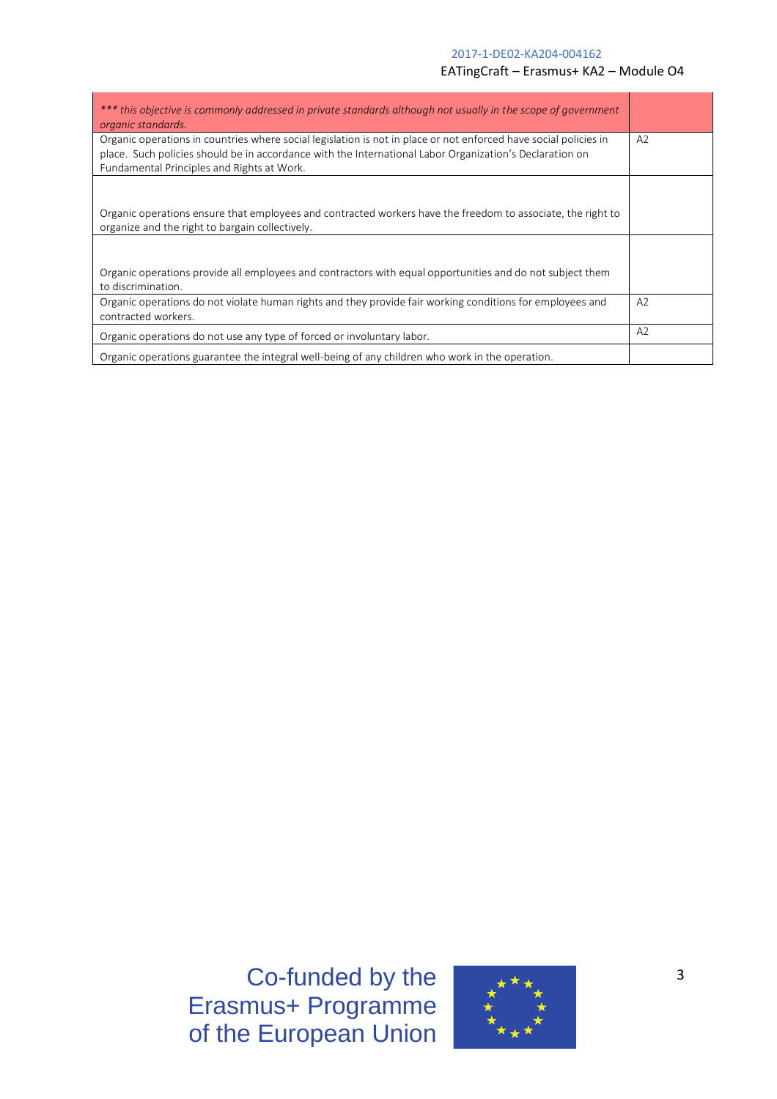#### EATingCraft – Erasmus+ KA2 – Module O4

| *** this objective is commonly addressed in private standards although not usually in the scope of government<br>organic standards.                                                                                                                                       |    |
|---------------------------------------------------------------------------------------------------------------------------------------------------------------------------------------------------------------------------------------------------------------------------|----|
| Organic operations in countries where social legislation is not in place or not enforced have social policies in<br>place. Such policies should be in accordance with the International Labor Organization's Declaration on<br>Fundamental Principles and Rights at Work. | A2 |
| Organic operations ensure that employees and contracted workers have the freedom to associate, the right to<br>organize and the right to bargain collectively.                                                                                                            |    |
|                                                                                                                                                                                                                                                                           |    |
| Organic operations provide all employees and contractors with equal opportunities and do not subject them<br>to discrimination.                                                                                                                                           |    |
| Organic operations do not violate human rights and they provide fair working conditions for employees and<br>contracted workers.                                                                                                                                          | A2 |
| Organic operations do not use any type of forced or involuntary labor.                                                                                                                                                                                                    | A2 |
| Organic operations guarantee the integral well-being of any children who work in the operation.                                                                                                                                                                           |    |

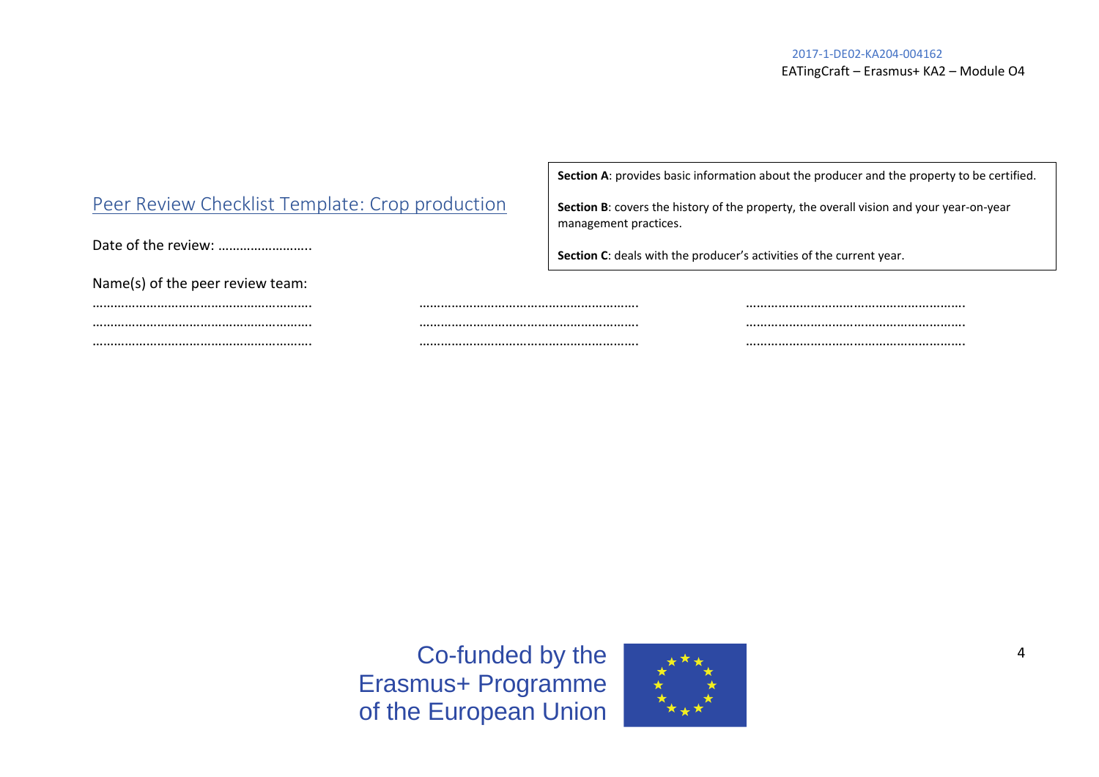|                                                 |                                                                      | <b>Section A:</b> provides basic information about the producer and the property to be certified. |
|-------------------------------------------------|----------------------------------------------------------------------|---------------------------------------------------------------------------------------------------|
| Peer Review Checklist Template: Crop production | management practices.                                                | Section B: covers the history of the property, the overall vision and your year-on-year           |
| Date of the review:                             | Section C: deals with the producer's activities of the current year. |                                                                                                   |
| Name(s) of the peer review team:                |                                                                      |                                                                                                   |
|                                                 |                                                                      |                                                                                                   |
|                                                 |                                                                      |                                                                                                   |
|                                                 |                                                                      |                                                                                                   |

| Co-funded by the      |
|-----------------------|
| Erasmus+ Programme    |
| of the European Union |

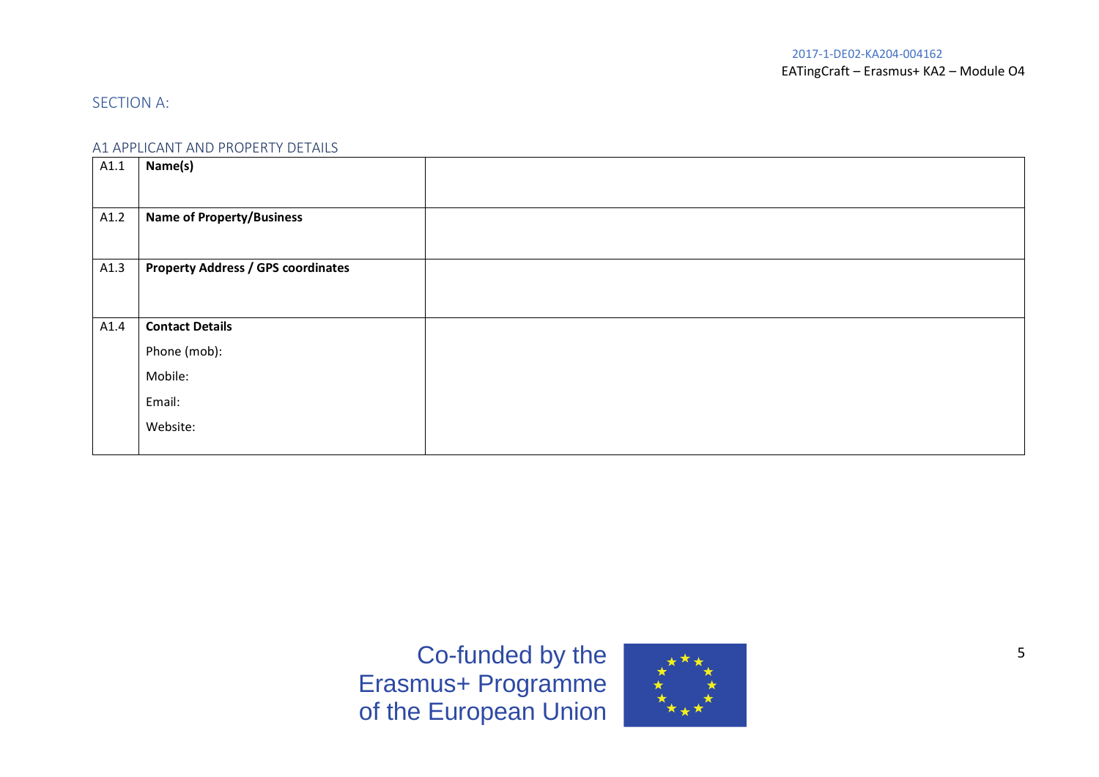# SECTION A:

#### A1 APPLICANT AND PROPERTY DETAILS

| A1.1 | Name(s)                                   |  |
|------|-------------------------------------------|--|
|      |                                           |  |
| A1.2 | <b>Name of Property/Business</b>          |  |
|      |                                           |  |
| A1.3 | <b>Property Address / GPS coordinates</b> |  |
|      |                                           |  |
|      |                                           |  |
| A1.4 | <b>Contact Details</b>                    |  |
|      | Phone (mob):                              |  |
|      | Mobile:                                   |  |
|      | Email:                                    |  |
|      | Website:                                  |  |
|      |                                           |  |

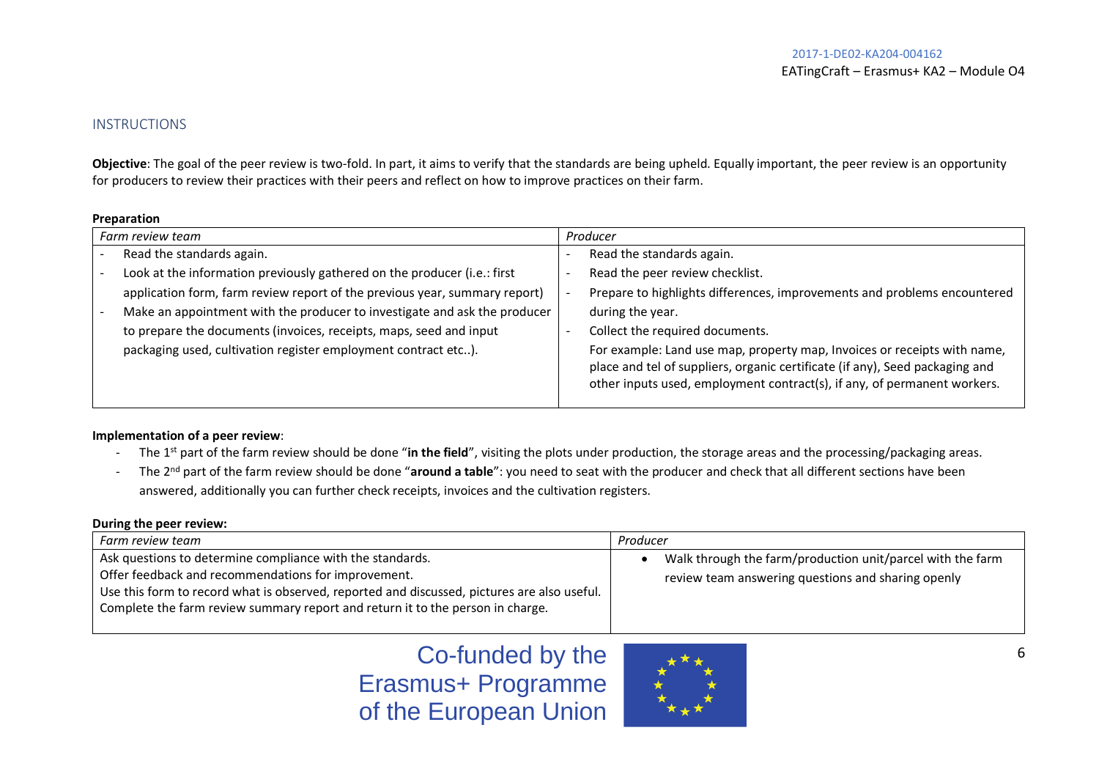#### **INSTRUCTIONS**

**Objective**: The goal of the peer review is two-fold. In part, it aims to verify that the standards are being upheld. Equally important, the peer review is an opportunity for producers to review their practices with their peers and reflect on how to improve practices on their farm.

#### **Preparation**

| Farm review team                                                           | Producer                                                                                                                                                                                                                             |
|----------------------------------------------------------------------------|--------------------------------------------------------------------------------------------------------------------------------------------------------------------------------------------------------------------------------------|
| Read the standards again.                                                  | Read the standards again.                                                                                                                                                                                                            |
| Look at the information previously gathered on the producer (i.e.: first   | Read the peer review checklist.                                                                                                                                                                                                      |
| application form, farm review report of the previous year, summary report) | Prepare to highlights differences, improvements and problems encountered                                                                                                                                                             |
| Make an appointment with the producer to investigate and ask the producer  | during the year.                                                                                                                                                                                                                     |
| to prepare the documents (invoices, receipts, maps, seed and input         | Collect the required documents.                                                                                                                                                                                                      |
| packaging used, cultivation register employment contract etc).             | For example: Land use map, property map, Invoices or receipts with name,<br>place and tel of suppliers, organic certificate (if any), Seed packaging and<br>other inputs used, employment contract(s), if any, of permanent workers. |

#### **Implementation of a peer review**:

- The 1<sup>st</sup> part of the farm review should be done "in the field", visiting the plots under production, the storage areas and the processing/packaging areas.
- The 2<sup>nd</sup> part of the farm review should be done "around a table": you need to seat with the producer and check that all different sections have been answered, additionally you can further check receipts, invoices and the cultivation registers.

#### **During the peer review:**

| Farm review team                                                                            | Producer                                                   |
|---------------------------------------------------------------------------------------------|------------------------------------------------------------|
| Ask questions to determine compliance with the standards.                                   | Walk through the farm/production unit/parcel with the farm |
| Offer feedback and recommendations for improvement.                                         | review team answering questions and sharing openly         |
| Use this form to record what is observed, reported and discussed, pictures are also useful. |                                                            |
| Complete the farm review summary report and return it to the person in charge.              |                                                            |
|                                                                                             |                                                            |

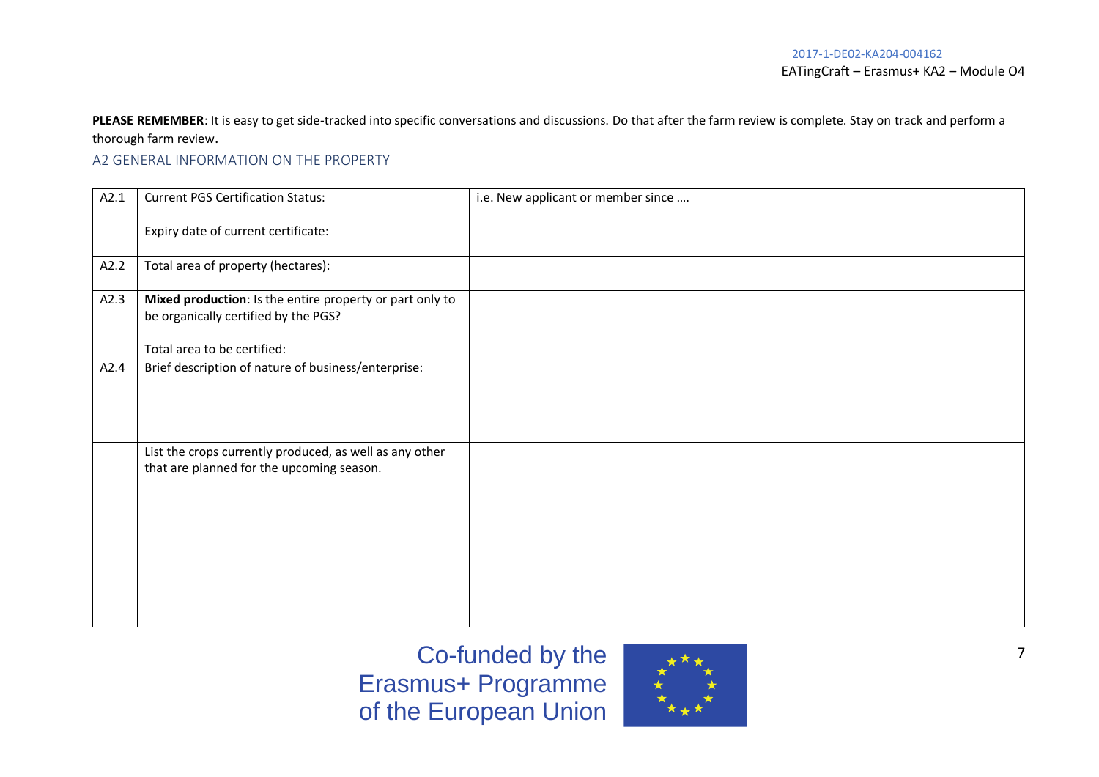PLEASE REMEMBER: It is easy to get side-tracked into specific conversations and discussions. Do that after the farm review is complete. Stay on track and perform a thorough farm review.

A2 GENERAL INFORMATION ON THE PROPERTY

| A2.1 | <b>Current PGS Certification Status:</b>                                                                                        | i.e. New applicant or member since |
|------|---------------------------------------------------------------------------------------------------------------------------------|------------------------------------|
|      | Expiry date of current certificate:                                                                                             |                                    |
| A2.2 | Total area of property (hectares):                                                                                              |                                    |
| A2.3 | Mixed production: Is the entire property or part only to<br>be organically certified by the PGS?<br>Total area to be certified: |                                    |
| A2.4 | Brief description of nature of business/enterprise:                                                                             |                                    |
|      | List the crops currently produced, as well as any other<br>that are planned for the upcoming season.                            |                                    |

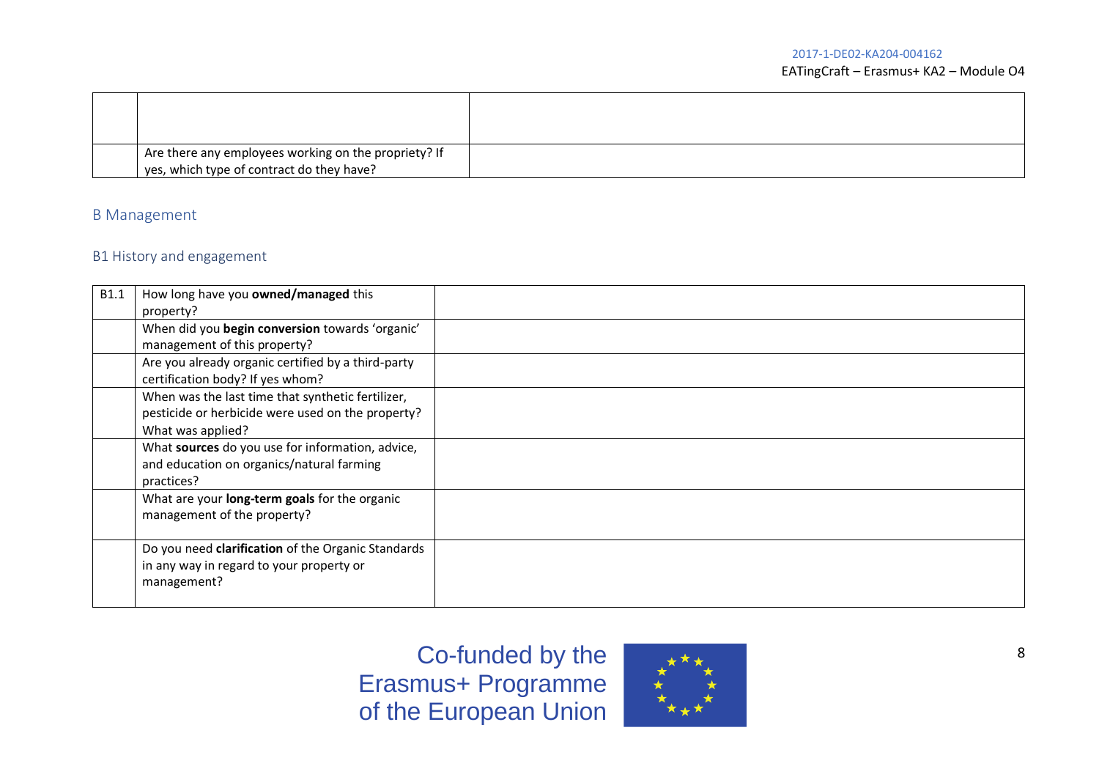| Are there any employees working on the propriety? If<br>yes, which type of contract do they have? |  |
|---------------------------------------------------------------------------------------------------|--|

## B Management

#### B1 History and engagement

| <b>B1.1</b> | How long have you owned/managed this               |  |
|-------------|----------------------------------------------------|--|
|             | property?                                          |  |
|             | When did you begin conversion towards 'organic'    |  |
|             | management of this property?                       |  |
|             | Are you already organic certified by a third-party |  |
|             | certification body? If yes whom?                   |  |
|             | When was the last time that synthetic fertilizer,  |  |
|             | pesticide or herbicide were used on the property?  |  |
|             | What was applied?                                  |  |
|             | What sources do you use for information, advice,   |  |
|             | and education on organics/natural farming          |  |
|             | practices?                                         |  |
|             | What are your long-term goals for the organic      |  |
|             | management of the property?                        |  |
|             |                                                    |  |
|             | Do you need clarification of the Organic Standards |  |
|             | in any way in regard to your property or           |  |
|             | management?                                        |  |
|             |                                                    |  |

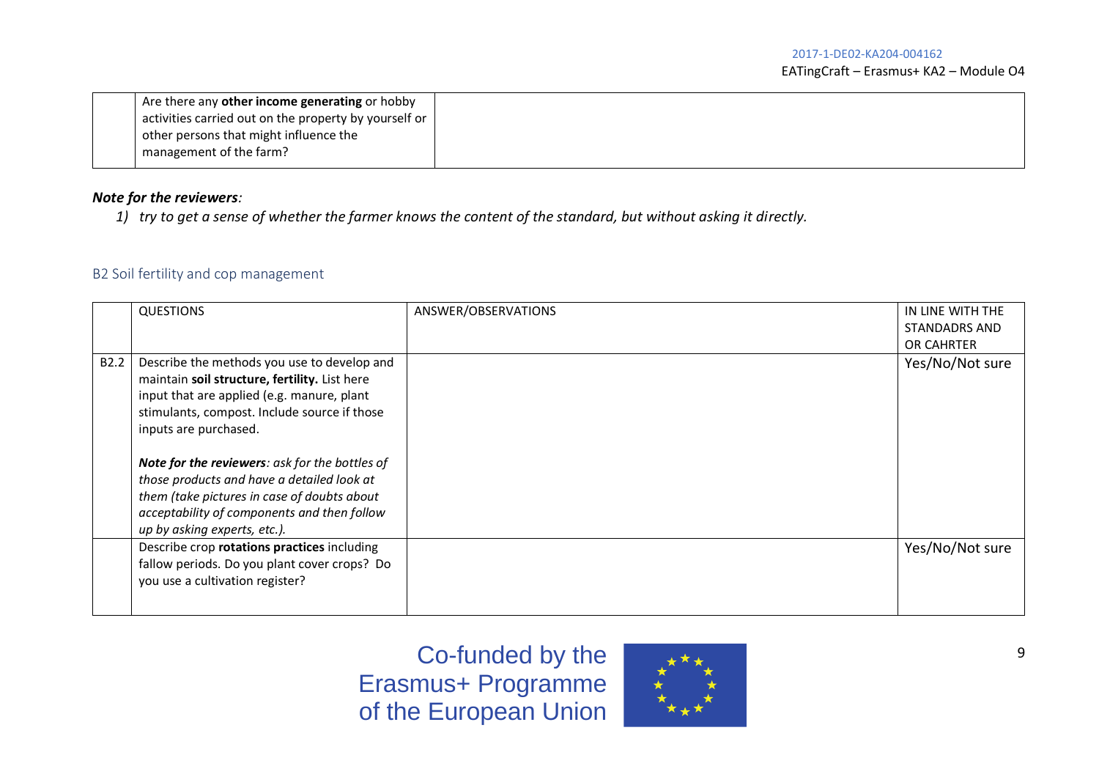| Are there any <b>other income generating</b> or hobby |
|-------------------------------------------------------|
|                                                       |
| activities carried out on the property by yourself or |
| other persons that might influence the                |
| management of the farm?                               |
|                                                       |

# *Note for the reviewers:*

*1) try to get a sense of whether the farmer knows the content of the standard, but without asking it directly.*

# B2 Soil fertility and cop management

|                  | <b>QUESTIONS</b>                                                                                                                                                                                                                                                                                                                                                                                                                                  | ANSWER/OBSERVATIONS | IN LINE WITH THE<br><b>STANDADRS AND</b><br><b>OR CAHRTER</b> |
|------------------|---------------------------------------------------------------------------------------------------------------------------------------------------------------------------------------------------------------------------------------------------------------------------------------------------------------------------------------------------------------------------------------------------------------------------------------------------|---------------------|---------------------------------------------------------------|
| B <sub>2.2</sub> | Describe the methods you use to develop and<br>maintain soil structure, fertility. List here<br>input that are applied (e.g. manure, plant<br>stimulants, compost. Include source if those<br>inputs are purchased.<br>Note for the reviewers: ask for the bottles of<br>those products and have a detailed look at<br>them (take pictures in case of doubts about<br>acceptability of components and then follow<br>up by asking experts, etc.). |                     | Yes/No/Not sure                                               |
|                  | Describe crop rotations practices including<br>fallow periods. Do you plant cover crops? Do<br>you use a cultivation register?                                                                                                                                                                                                                                                                                                                    |                     | Yes/No/Not sure                                               |

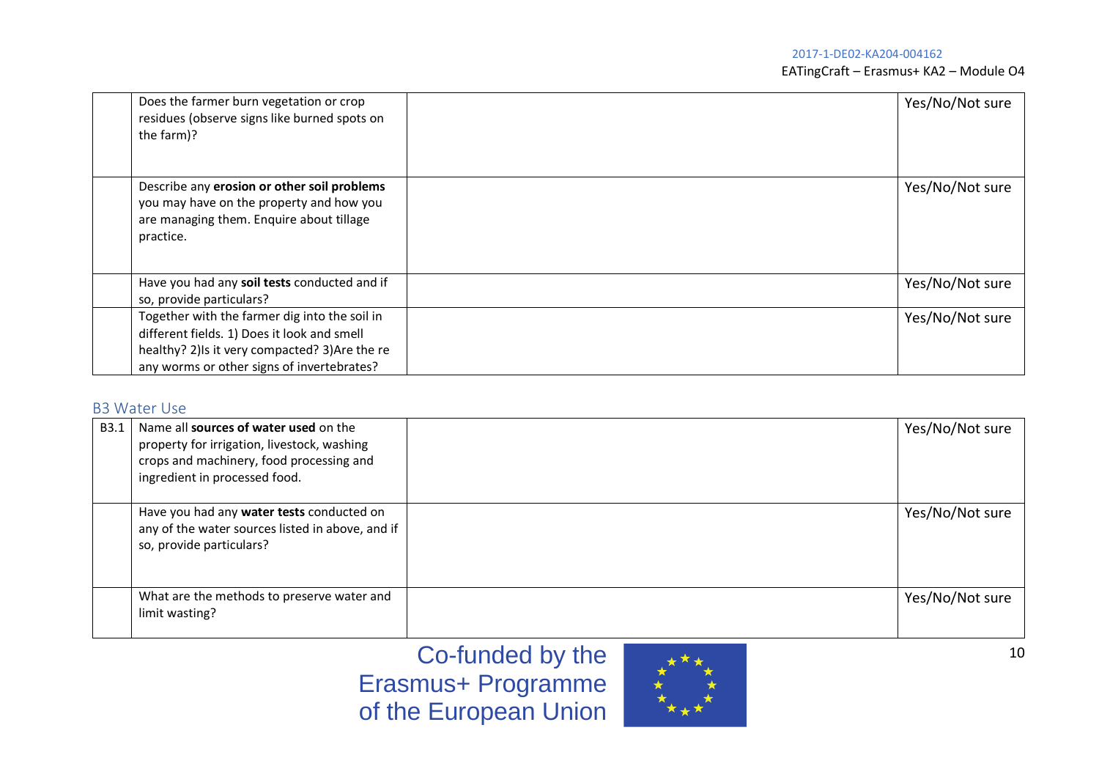| Does the farmer burn vegetation or crop<br>residues (observe signs like burned spots on<br>the farm)?                                                                                         | Yes/No/Not sure |
|-----------------------------------------------------------------------------------------------------------------------------------------------------------------------------------------------|-----------------|
| Describe any erosion or other soil problems<br>you may have on the property and how you<br>are managing them. Enquire about tillage<br>practice.                                              | Yes/No/Not sure |
| Have you had any soil tests conducted and if<br>so, provide particulars?                                                                                                                      | Yes/No/Not sure |
| Together with the farmer dig into the soil in<br>different fields. 1) Does it look and smell<br>healthy? 2) Is it very compacted? 3) Are the re<br>any worms or other signs of invertebrates? | Yes/No/Not sure |

### B3 Water Use

| <b>B3.1</b> | Name all sources of water used on the<br>property for irrigation, livestock, washing<br>crops and machinery, food processing and<br>ingredient in processed food. | Yes/No/Not sure |
|-------------|-------------------------------------------------------------------------------------------------------------------------------------------------------------------|-----------------|
|             | Have you had any water tests conducted on<br>any of the water sources listed in above, and if<br>so, provide particulars?                                         | Yes/No/Not sure |
|             | What are the methods to preserve water and<br>limit wasting?                                                                                                      | Yes/No/Not sure |

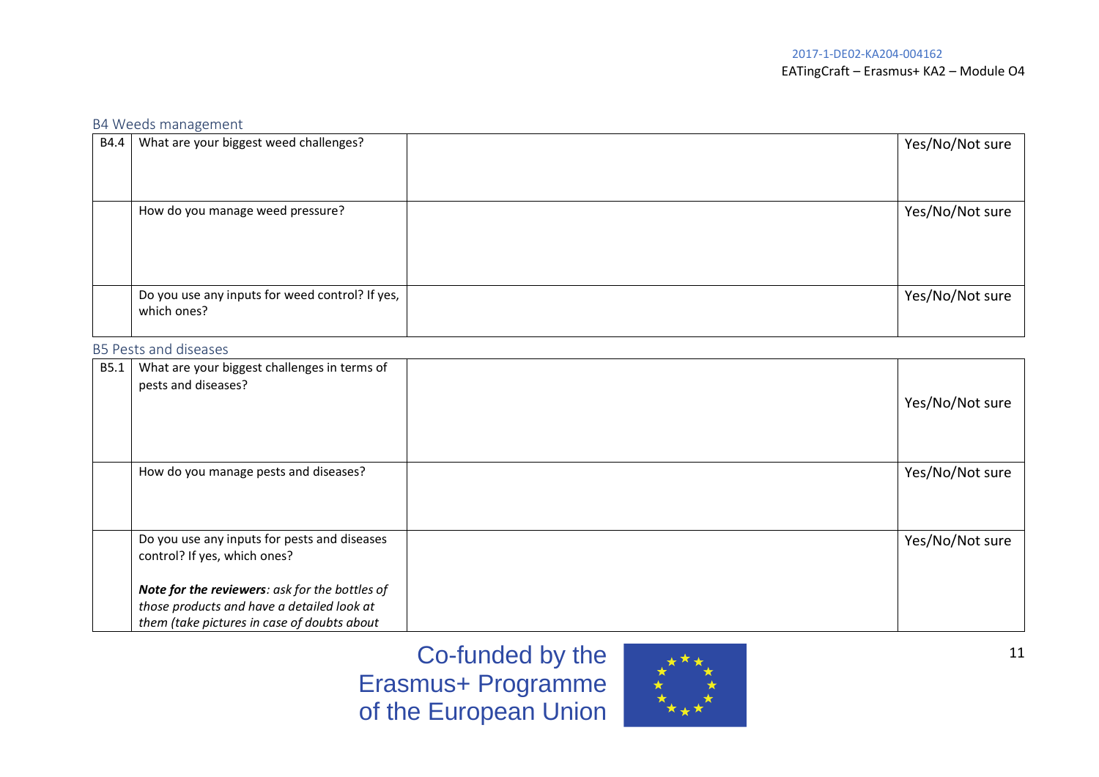# B4 Weeds management

| B4.4 | What are your biggest weed challenges?          | Yes/No/Not sure |
|------|-------------------------------------------------|-----------------|
|      |                                                 |                 |
|      |                                                 |                 |
|      | How do you manage weed pressure?                | Yes/No/Not sure |
|      |                                                 |                 |
|      |                                                 |                 |
|      |                                                 |                 |
|      |                                                 |                 |
|      | Do you use any inputs for weed control? If yes, | Yes/No/Not sure |
|      | which ones?                                     |                 |
|      |                                                 |                 |

# B5 Pests and diseases

| <b>B5.1</b> | What are your biggest challenges in terms of<br>pests and diseases?                                                                         | Yes/No/Not sure |
|-------------|---------------------------------------------------------------------------------------------------------------------------------------------|-----------------|
|             | How do you manage pests and diseases?                                                                                                       | Yes/No/Not sure |
|             | Do you use any inputs for pests and diseases<br>control? If yes, which ones?                                                                | Yes/No/Not sure |
|             | Note for the reviewers: ask for the bottles of<br>those products and have a detailed look at<br>them (take pictures in case of doubts about |                 |

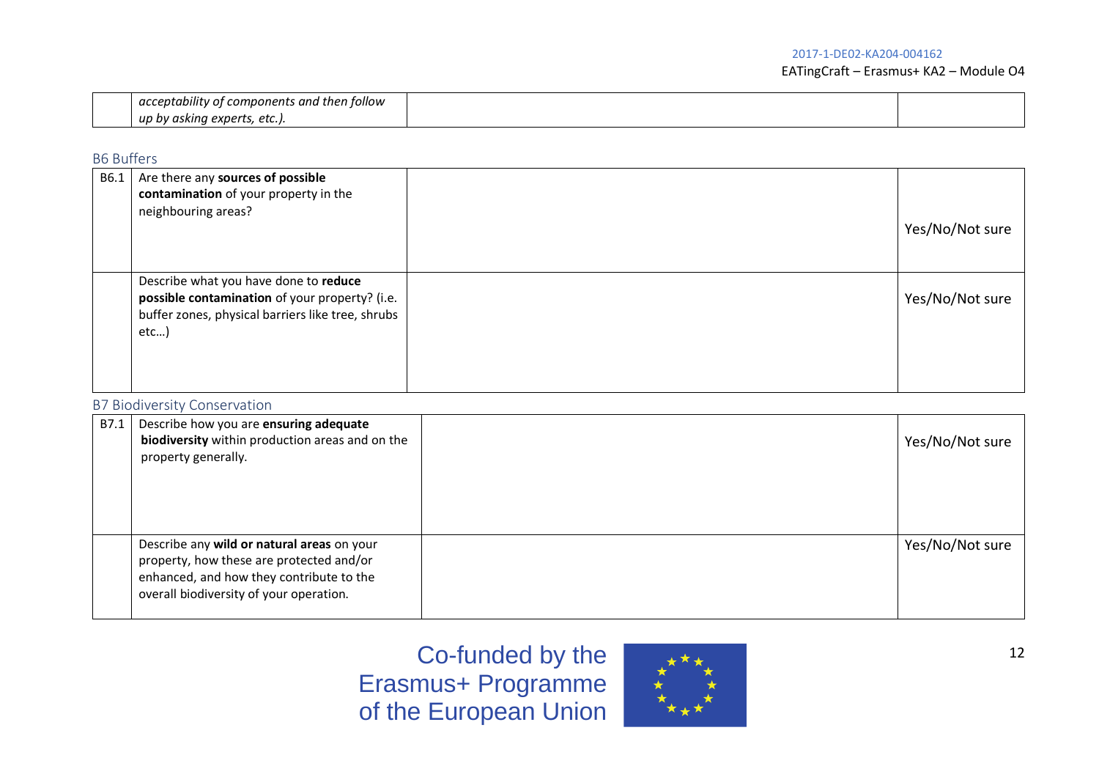#### EATingCraft – Erasmus+ KA2 – Module O4

| <br>ı tollow<br>acceptability of components and a<br>then |  |
|-----------------------------------------------------------|--|
| up by asking<br>experts<br>rts, etc.).                    |  |

# B6 Buffers

| B6.1 | Are there any sources of possible<br>contamination of your property in the<br>neighbouring areas?                                                    | Yes/No/Not sure |
|------|------------------------------------------------------------------------------------------------------------------------------------------------------|-----------------|
|      | Describe what you have done to reduce<br>possible contamination of your property? (i.e.<br>buffer zones, physical barriers like tree, shrubs<br>etc) | Yes/No/Not sure |

# B7 Biodiversity Conservation

| B7.1 | Describe how you are ensuring adequate<br>biodiversity within production areas and on the<br>property generally.                                                              | Yes/No/Not sure |
|------|-------------------------------------------------------------------------------------------------------------------------------------------------------------------------------|-----------------|
|      | Describe any wild or natural areas on your<br>property, how these are protected and/or<br>enhanced, and how they contribute to the<br>overall biodiversity of your operation. | Yes/No/Not sure |

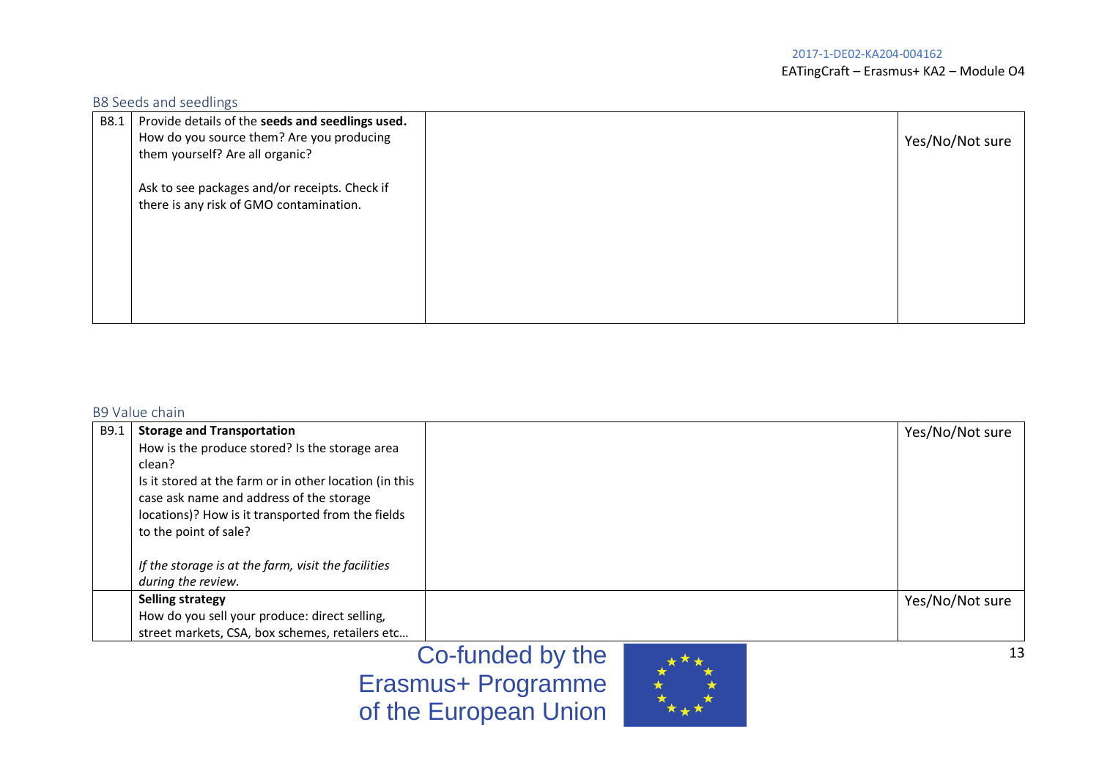## B8 Seeds and seedlings

| B8.1 | Provide details of the seeds and seedlings used.<br>How do you source them? Are you producing<br>them yourself? Are all organic? | Yes/No/Not sure |
|------|----------------------------------------------------------------------------------------------------------------------------------|-----------------|
|      | Ask to see packages and/or receipts. Check if<br>there is any risk of GMO contamination.                                         |                 |
|      |                                                                                                                                  |                 |

### B9 Value chain

| B9.1 | <b>Storage and Transportation</b>                      | Yes/No/Not sure |
|------|--------------------------------------------------------|-----------------|
|      | How is the produce stored? Is the storage area         |                 |
|      | clean?                                                 |                 |
|      | Is it stored at the farm or in other location (in this |                 |
|      | case ask name and address of the storage               |                 |
|      | locations)? How is it transported from the fields      |                 |
|      | to the point of sale?                                  |                 |
|      |                                                        |                 |
|      | If the storage is at the farm, visit the facilities    |                 |
|      | during the review.                                     |                 |
|      | Selling strategy                                       | Yes/No/Not sure |
|      | How do you sell your produce: direct selling,          |                 |
|      | street markets, CSA, box schemes, retailers etc        |                 |

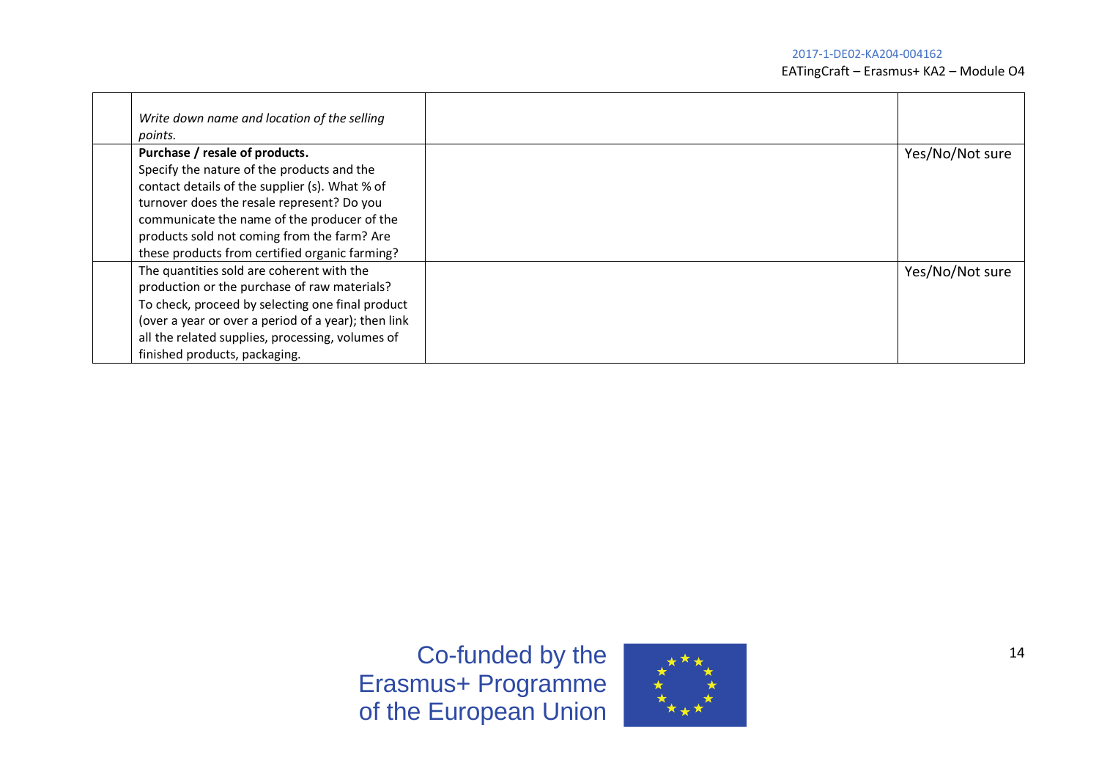#### 2017-1-DE02-KA204-004162 EATingCraft – Erasmus+ KA2 – Module O4

| Write down name and location of the selling<br>points. |                 |
|--------------------------------------------------------|-----------------|
| Purchase / resale of products.                         | Yes/No/Not sure |
| Specify the nature of the products and the             |                 |
| contact details of the supplier (s). What % of         |                 |
| turnover does the resale represent? Do you             |                 |
| communicate the name of the producer of the            |                 |
| products sold not coming from the farm? Are            |                 |
| these products from certified organic farming?         |                 |
| The quantities sold are coherent with the              | Yes/No/Not sure |
| production or the purchase of raw materials?           |                 |
| To check, proceed by selecting one final product       |                 |
| (over a year or over a period of a year); then link    |                 |
| all the related supplies, processing, volumes of       |                 |
| finished products, packaging.                          |                 |

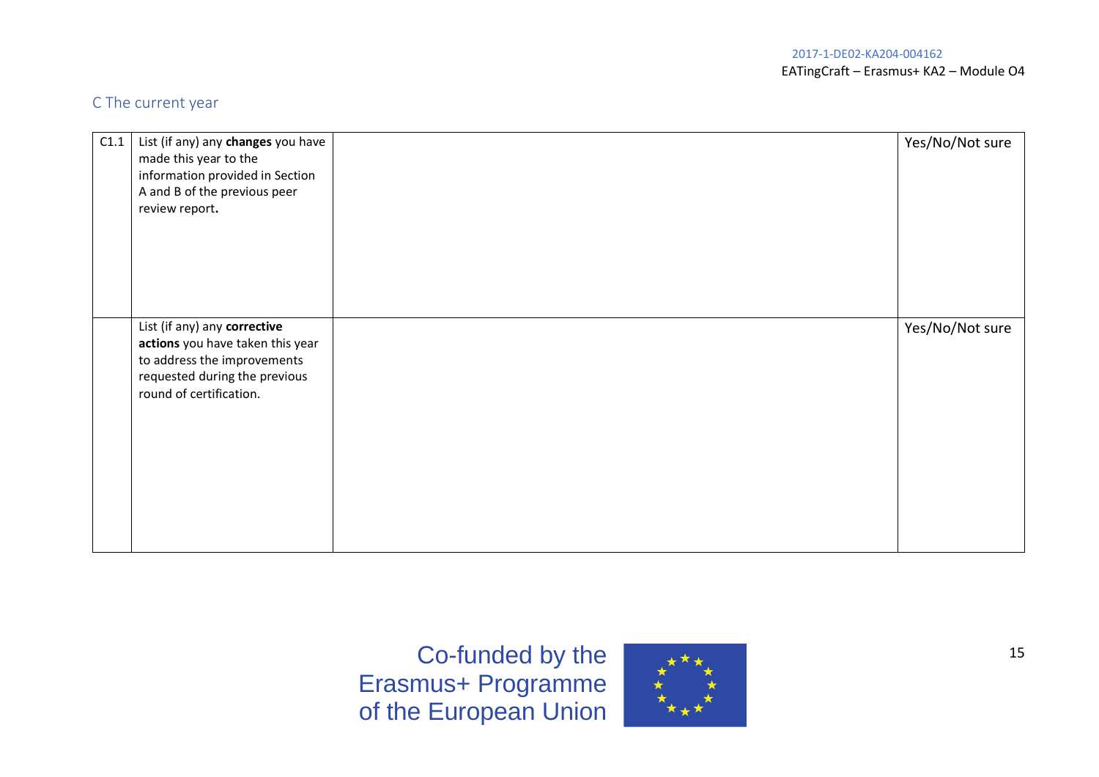# C The current year

| C1.1 | List (if any) any changes you have<br>made this year to the<br>information provided in Section<br>A and B of the previous peer<br>review report.            | Yes/No/Not sure |
|------|-------------------------------------------------------------------------------------------------------------------------------------------------------------|-----------------|
|      | List (if any) any corrective<br>actions you have taken this year<br>to address the improvements<br>requested during the previous<br>round of certification. | Yes/No/Not sure |

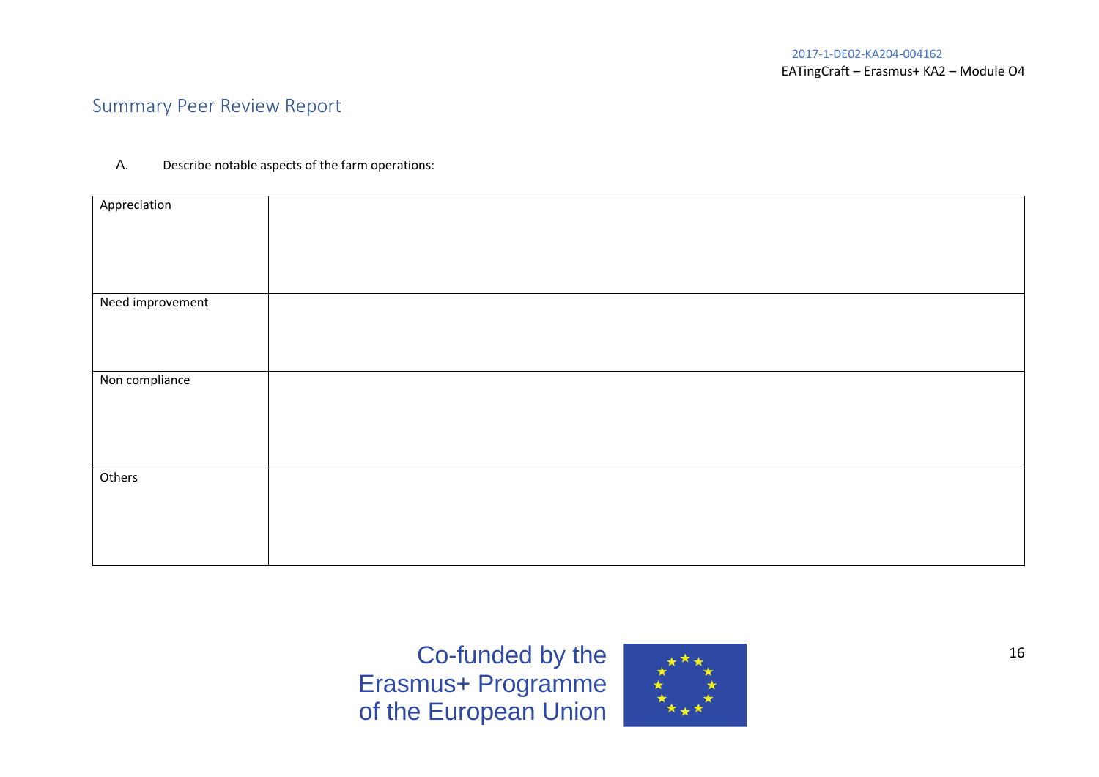# Summary Peer Review Report

#### A. Describe notable aspects of the farm operations:

| Appreciation     |  |
|------------------|--|
|                  |  |
|                  |  |
|                  |  |
|                  |  |
|                  |  |
|                  |  |
|                  |  |
| Need improvement |  |
|                  |  |
|                  |  |
|                  |  |
|                  |  |
|                  |  |
|                  |  |
| Non compliance   |  |
|                  |  |
|                  |  |
|                  |  |
|                  |  |
|                  |  |
|                  |  |
|                  |  |
| Others           |  |
|                  |  |
|                  |  |
|                  |  |
|                  |  |
|                  |  |
|                  |  |
|                  |  |
|                  |  |

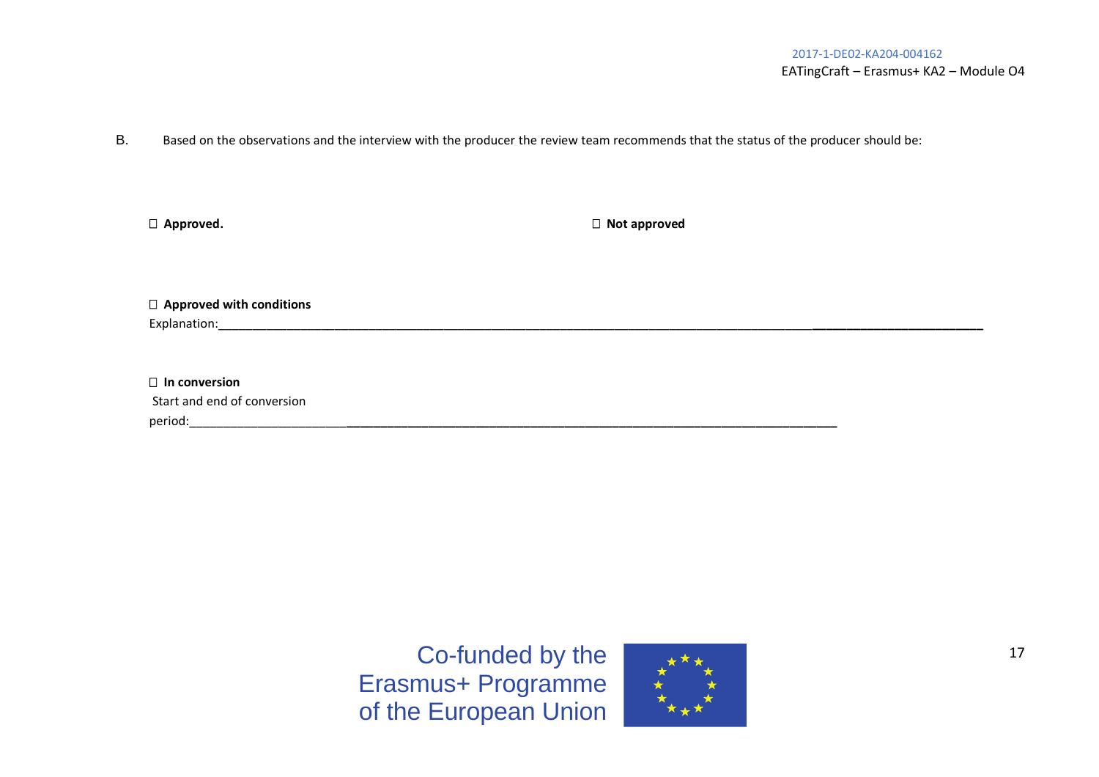B. Based on the observations and the interview with the producer the review team recommends that the status of the producer should be:

□ Approved. **<u><b>a**</u> Approved. **b** Approved **b** Approved **b** Approved **b** Approved **b** Approved **b** Approved **b** Approved **b** Approved **b** Approved **b** Approved **b** Approved **b** Approved **b** Approved **b** Approved **b** Appro

 **Approved with conditions**  Explanation:\_\_\_\_\_\_\_\_\_\_\_\_\_\_\_\_\_\_\_\_\_\_\_\_\_\_\_\_\_\_\_\_\_\_\_\_\_\_\_\_\_\_\_\_\_\_\_\_\_\_\_\_\_\_\_\_\_\_\_\_\_\_\_\_\_\_\_\_\_\_\_\_\_\_\_\_\_\_\_\_\_\_\_\_\_\_\_**\_\_\_\_\_\_\_\_\_\_\_\_\_\_\_\_\_\_\_\_\_\_\_\_\_**

 **In conversion** Start and end of conversion period:\_\_\_\_\_\_\_\_\_\_\_\_\_\_\_\_\_\_\_\_\_\_\_**\_\_\_\_\_\_\_\_\_\_\_\_\_\_\_\_\_\_\_\_\_\_\_\_\_\_\_\_\_\_\_\_\_\_\_\_\_\_\_\_\_\_\_\_\_\_\_\_\_\_\_\_\_\_\_\_\_\_\_\_\_\_\_\_\_\_\_\_\_\_\_\_**